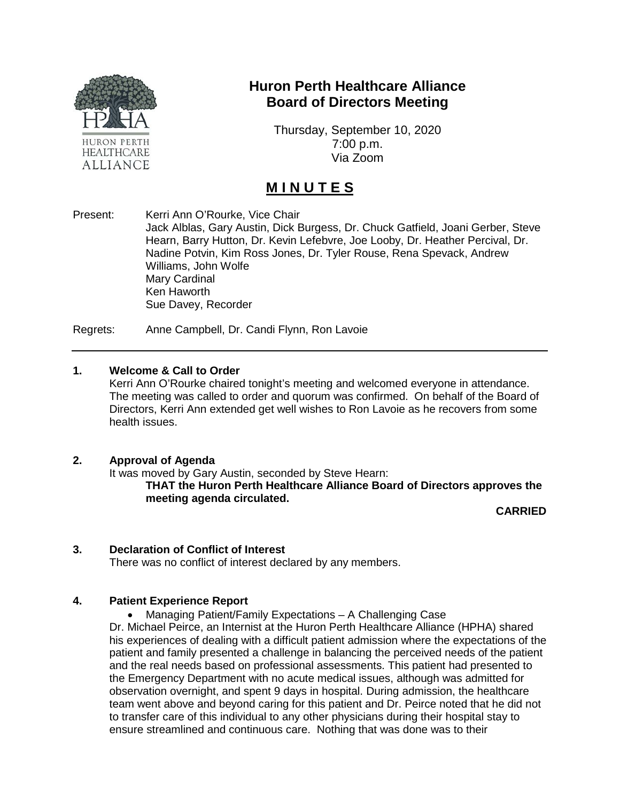

### **Huron Perth Healthcare Alliance Board of Directors Meeting**

Thursday, September 10, 2020 7:00 p.m. Via Zoom

## **M I N U T E S**

Present: Kerri Ann O'Rourke, Vice Chair

Jack Alblas, Gary Austin, Dick Burgess, Dr. Chuck Gatfield, Joani Gerber, Steve Hearn, Barry Hutton, Dr. Kevin Lefebvre, Joe Looby, Dr. Heather Percival, Dr. Nadine Potvin, Kim Ross Jones, Dr. Tyler Rouse, Rena Spevack, Andrew Williams, John Wolfe Mary Cardinal Ken Haworth Sue Davey, Recorder

Regrets: Anne Campbell, Dr. Candi Flynn, Ron Lavoie

#### **1. Welcome & Call to Order**

Kerri Ann O'Rourke chaired tonight's meeting and welcomed everyone in attendance. The meeting was called to order and quorum was confirmed. On behalf of the Board of Directors, Kerri Ann extended get well wishes to Ron Lavoie as he recovers from some health issues.

#### **2. Approval of Agenda**

It was moved by Gary Austin, seconded by Steve Hearn:

**THAT the Huron Perth Healthcare Alliance Board of Directors approves the meeting agenda circulated.**

**CARRIED**

#### **3. Declaration of Conflict of Interest**

There was no conflict of interest declared by any members.

#### **4. Patient Experience Report**

• Managing Patient/Family Expectations – A Challenging Case

Dr. Michael Peirce, an Internist at the Huron Perth Healthcare Alliance (HPHA) shared his experiences of dealing with a difficult patient admission where the expectations of the patient and family presented a challenge in balancing the perceived needs of the patient and the real needs based on professional assessments. This patient had presented to the Emergency Department with no acute medical issues, although was admitted for observation overnight, and spent 9 days in hospital. During admission, the healthcare team went above and beyond caring for this patient and Dr. Peirce noted that he did not to transfer care of this individual to any other physicians during their hospital stay to ensure streamlined and continuous care. Nothing that was done was to their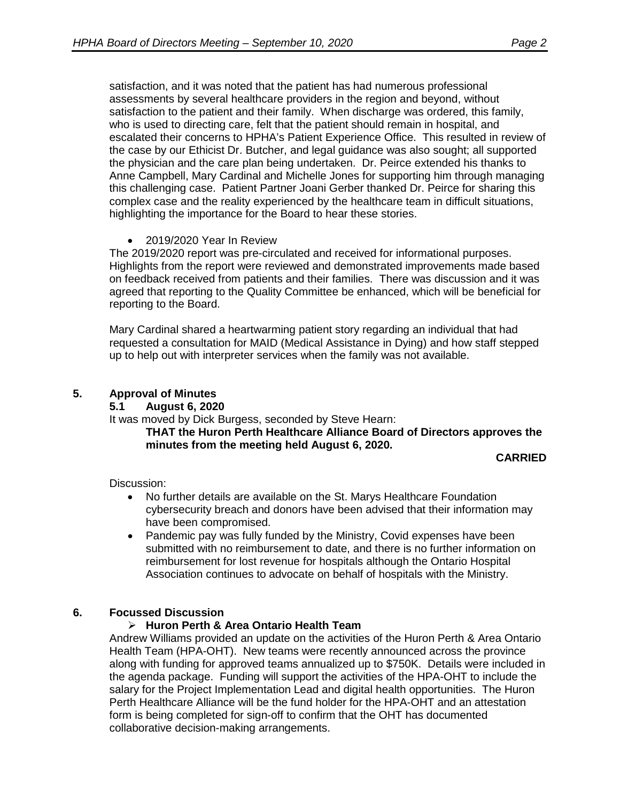satisfaction, and it was noted that the patient has had numerous professional assessments by several healthcare providers in the region and beyond, without satisfaction to the patient and their family. When discharge was ordered, this family, who is used to directing care, felt that the patient should remain in hospital, and escalated their concerns to HPHA's Patient Experience Office. This resulted in review of the case by our Ethicist Dr. Butcher, and legal guidance was also sought; all supported the physician and the care plan being undertaken. Dr. Peirce extended his thanks to Anne Campbell, Mary Cardinal and Michelle Jones for supporting him through managing this challenging case. Patient Partner Joani Gerber thanked Dr. Peirce for sharing this complex case and the reality experienced by the healthcare team in difficult situations, highlighting the importance for the Board to hear these stories.

#### • 2019/2020 Year In Review

The 2019/2020 report was pre-circulated and received for informational purposes. Highlights from the report were reviewed and demonstrated improvements made based on feedback received from patients and their families. There was discussion and it was agreed that reporting to the Quality Committee be enhanced, which will be beneficial for reporting to the Board.

Mary Cardinal shared a heartwarming patient story regarding an individual that had requested a consultation for MAID (Medical Assistance in Dying) and how staff stepped up to help out with interpreter services when the family was not available.

#### **5. Approval of Minutes**

#### **5.1 August 6, 2020**

It was moved by Dick Burgess, seconded by Steve Hearn:

**THAT the Huron Perth Healthcare Alliance Board of Directors approves the minutes from the meeting held August 6, 2020.**

#### **CARRIED**

Discussion:

- No further details are available on the St. Marys Healthcare Foundation cybersecurity breach and donors have been advised that their information may have been compromised.
- Pandemic pay was fully funded by the Ministry, Covid expenses have been submitted with no reimbursement to date, and there is no further information on reimbursement for lost revenue for hospitals although the Ontario Hospital Association continues to advocate on behalf of hospitals with the Ministry.

#### **6. Focussed Discussion**

#### **Huron Perth & Area Ontario Health Team**

Andrew Williams provided an update on the activities of the Huron Perth & Area Ontario Health Team (HPA-OHT). New teams were recently announced across the province along with funding for approved teams annualized up to \$750K. Details were included in the agenda package. Funding will support the activities of the HPA-OHT to include the salary for the Project Implementation Lead and digital health opportunities. The Huron Perth Healthcare Alliance will be the fund holder for the HPA-OHT and an attestation form is being completed for sign-off to confirm that the OHT has documented collaborative decision-making arrangements.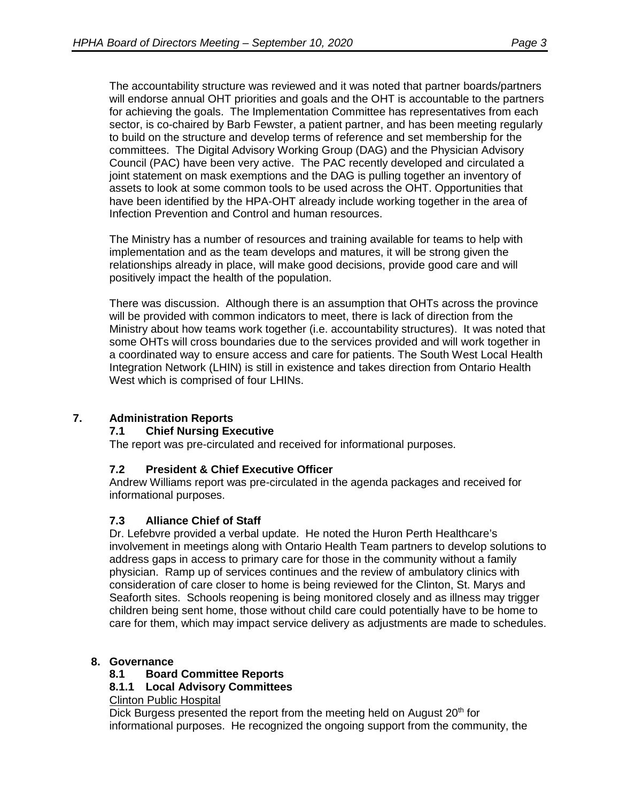The accountability structure was reviewed and it was noted that partner boards/partners will endorse annual OHT priorities and goals and the OHT is accountable to the partners for achieving the goals. The Implementation Committee has representatives from each sector, is co-chaired by Barb Fewster, a patient partner, and has been meeting regularly to build on the structure and develop terms of reference and set membership for the committees. The Digital Advisory Working Group (DAG) and the Physician Advisory Council (PAC) have been very active. The PAC recently developed and circulated a joint statement on mask exemptions and the DAG is pulling together an inventory of assets to look at some common tools to be used across the OHT. Opportunities that have been identified by the HPA-OHT already include working together in the area of Infection Prevention and Control and human resources.

The Ministry has a number of resources and training available for teams to help with implementation and as the team develops and matures, it will be strong given the relationships already in place, will make good decisions, provide good care and will positively impact the health of the population.

There was discussion. Although there is an assumption that OHTs across the province will be provided with common indicators to meet, there is lack of direction from the Ministry about how teams work together (i.e. accountability structures). It was noted that some OHTs will cross boundaries due to the services provided and will work together in a coordinated way to ensure access and care for patients. The South West Local Health Integration Network (LHIN) is still in existence and takes direction from Ontario Health West which is comprised of four LHINs.

#### **7. Administration Reports**

#### **7.1 Chief Nursing Executive**

The report was pre-circulated and received for informational purposes.

#### **7.2 President & Chief Executive Officer**

Andrew Williams report was pre-circulated in the agenda packages and received for informational purposes.

#### **7.3 Alliance Chief of Staff**

Dr. Lefebvre provided a verbal update. He noted the Huron Perth Healthcare's involvement in meetings along with Ontario Health Team partners to develop solutions to address gaps in access to primary care for those in the community without a family physician. Ramp up of services continues and the review of ambulatory clinics with consideration of care closer to home is being reviewed for the Clinton, St. Marys and Seaforth sites. Schools reopening is being monitored closely and as illness may trigger children being sent home, those without child care could potentially have to be home to care for them, which may impact service delivery as adjustments are made to schedules.

# **8. Governance**

#### **8.1 Board Committee Reports**

#### **8.1.1 Local Advisory Committees**

Clinton Public Hospital

Dick Burgess presented the report from the meeting held on August 20<sup>th</sup> for informational purposes. He recognized the ongoing support from the community, the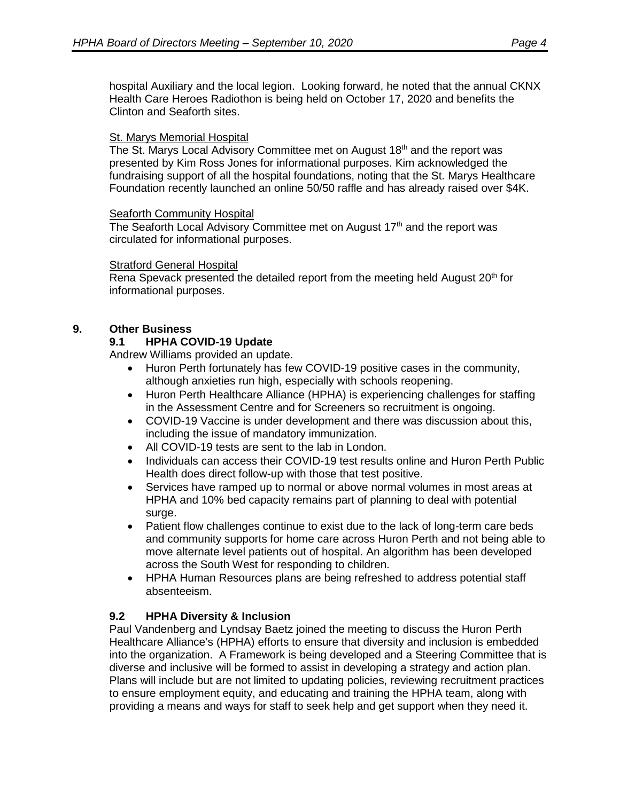hospital Auxiliary and the local legion. Looking forward, he noted that the annual CKNX Health Care Heroes Radiothon is being held on October 17, 2020 and benefits the Clinton and Seaforth sites.

#### St. Marys Memorial Hospital

The St. Marys Local Advisory Committee met on August 18<sup>th</sup> and the report was presented by Kim Ross Jones for informational purposes. Kim acknowledged the fundraising support of all the hospital foundations, noting that the St. Marys Healthcare Foundation recently launched an online 50/50 raffle and has already raised over \$4K.

#### Seaforth Community Hospital

The Seaforth Local Advisory Committee met on August 17<sup>th</sup> and the report was circulated for informational purposes.

#### Stratford General Hospital

Rena Spevack presented the detailed report from the meeting held August 20<sup>th</sup> for informational purposes.

#### **9. Other Business**

#### **9.1 HPHA COVID-19 Update**

Andrew Williams provided an update.

- Huron Perth fortunately has few COVID-19 positive cases in the community, although anxieties run high, especially with schools reopening.
- Huron Perth Healthcare Alliance (HPHA) is experiencing challenges for staffing in the Assessment Centre and for Screeners so recruitment is ongoing.
- COVID-19 Vaccine is under development and there was discussion about this, including the issue of mandatory immunization.
- All COVID-19 tests are sent to the lab in London.
- Individuals can access their COVID-19 test results online and Huron Perth Public Health does direct follow-up with those that test positive.
- Services have ramped up to normal or above normal volumes in most areas at HPHA and 10% bed capacity remains part of planning to deal with potential surge.
- Patient flow challenges continue to exist due to the lack of long-term care beds and community supports for home care across Huron Perth and not being able to move alternate level patients out of hospital. An algorithm has been developed across the South West for responding to children.
- HPHA Human Resources plans are being refreshed to address potential staff absenteeism.

#### **9.2 HPHA Diversity & Inclusion**

Paul Vandenberg and Lyndsay Baetz joined the meeting to discuss the Huron Perth Healthcare Alliance's (HPHA) efforts to ensure that diversity and inclusion is embedded into the organization. A Framework is being developed and a Steering Committee that is diverse and inclusive will be formed to assist in developing a strategy and action plan. Plans will include but are not limited to updating policies, reviewing recruitment practices to ensure employment equity, and educating and training the HPHA team, along with providing a means and ways for staff to seek help and get support when they need it.